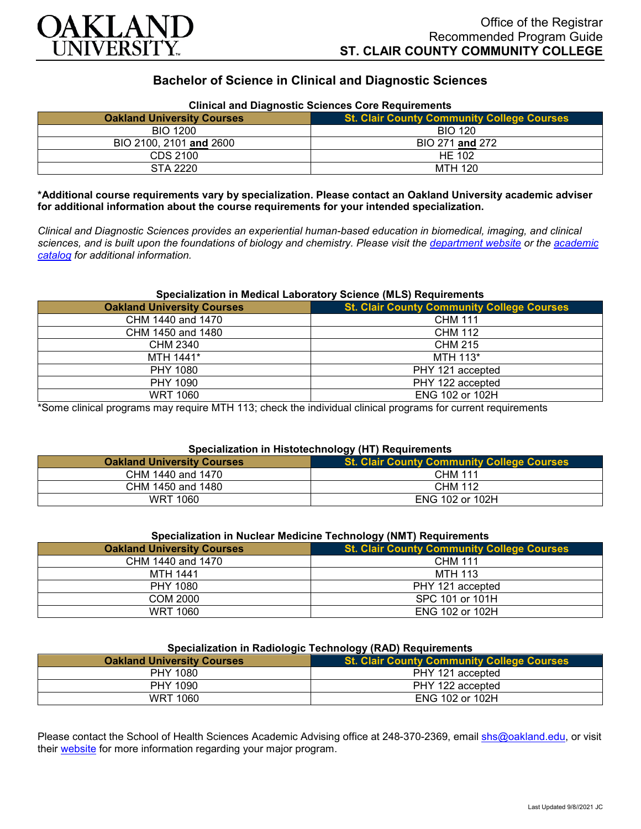

# **Bachelor of Science in Clinical and Diagnostic Sciences**

| Clinical and Diagnostic Sciences Core Requirements |                                                   |
|----------------------------------------------------|---------------------------------------------------|
| <b>Oakland University Courses</b>                  | <b>St. Clair County Community College Courses</b> |
| BIO 1200                                           | <b>BIO 120</b>                                    |
| BIO 2100, 2101 and 2600                            | BIO 271 and 272                                   |
| CDS 2100                                           | HE 102                                            |
| STA 2220                                           | MTH 120                                           |

# **Clinical and Diagnostic Sciences Core Requirements**

**\*Additional course requirements vary by specialization. Please contact an Oakland University academic adviser for additional information about the course requirements for your intended specialization.**

*Clinical and Diagnostic Sciences provides an experiential human-based education in biomedical, imaging, and clinical sciences, and is built upon the foundations of biology and chemistry. Please visit the [department website](https://www.oakland.edu/shs/clinical-and-diagnostic-sciences/) or the [academic](http://catalog.oakland.edu/preview_program.php?catoid=53&poid=8663)  [catalog](http://catalog.oakland.edu/preview_program.php?catoid=53&poid=8663) for additional information.*

#### **Specialization in Medical Laboratory Science (MLS) Requirements**

| <b>Oakland University Courses</b> | <b>St. Clair County Community College Courses</b> |
|-----------------------------------|---------------------------------------------------|
| CHM 1440 and 1470                 | <b>CHM 111</b>                                    |
| CHM 1450 and 1480                 | <b>CHM 112</b>                                    |
| CHM 2340                          | <b>CHM 215</b>                                    |
| MTH 1441*                         | MTH 113*                                          |
| <b>PHY 1080</b>                   | PHY 121 accepted                                  |
| PHY 1090                          | PHY 122 accepted                                  |
| WRT 1060                          | <b>ENG 102 or 102H</b>                            |

\*Some clinical programs may require MTH 113; check the individual clinical programs for current requirements

### **Specialization in Histotechnology (HT) Requirements**

| <b>Oakland University Courses</b> | <b>St. Clair County Community College Courses</b> |
|-----------------------------------|---------------------------------------------------|
| CHM 1440 and 1470                 | <b>CHM 111</b>                                    |
| CHM 1450 and 1480                 | CHM 112                                           |
| WRT 1060                          | <b>ENG 102 or 102H</b>                            |

#### **Specialization in Nuclear Medicine Technology (NMT) Requirements**

|                                   | ---                                               |
|-----------------------------------|---------------------------------------------------|
| <b>Oakland University Courses</b> | <b>St. Clair County Community College Courses</b> |
| CHM 1440 and 1470                 | <b>CHM 111</b>                                    |
| MTH 1441                          | MTH 113                                           |
| PHY 1080                          | PHY 121 accepted                                  |
| COM 2000                          | SPC 101 or 101H                                   |
| <b>WRT 1060</b>                   | ENG 102 or 102H                                   |

## **Specialization in Radiologic Technology (RAD) Requirements**

| <b>Oakland University Courses</b> | .<br><b>St. Clair County Community College Courses</b> |
|-----------------------------------|--------------------------------------------------------|
| PHY 1080                          | PHY 121 accepted                                       |
| PHY 1090                          | PHY 122 accepted                                       |
| <b>WRT 1060</b>                   | <b>ENG 102 or 102H</b>                                 |

Please contact the School of Health Sciences Academic Advising office at 248-370-2369, email [shs@oakland.edu,](mailto:shs@oakland.edu) or visit their [website](http://www.oakland.edu/shs/advising) for more information regarding your major program.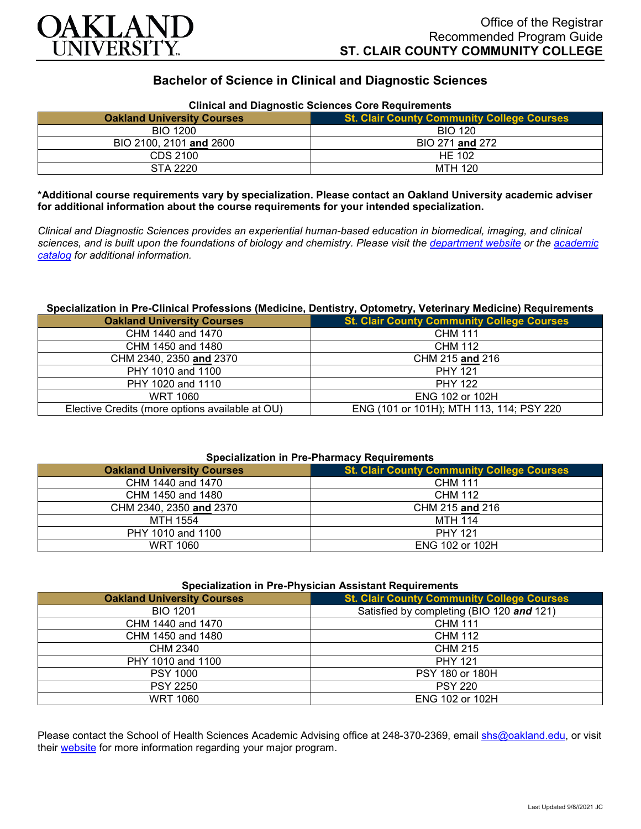

# **Bachelor of Science in Clinical and Diagnostic Sciences**

| Clinical and Diagnostic Sciences Core Requirements<br><b>St. Clair County Community College Courses</b><br><b>Oakland University Courses</b> |                 |
|----------------------------------------------------------------------------------------------------------------------------------------------|-----------------|
| <b>BIO 1200</b>                                                                                                                              | <b>BIO 120</b>  |
| BIO 2100, 2101 and 2600                                                                                                                      | BIO 271 and 272 |
| CDS 2100                                                                                                                                     | HE 102          |
| STA 2220                                                                                                                                     | MTH 120         |

## **Clinical and Diagnostic Sciences Core Requirements**

**\*Additional course requirements vary by specialization. Please contact an Oakland University academic adviser for additional information about the course requirements for your intended specialization.**

*Clinical and Diagnostic Sciences provides an experiential human-based education in biomedical, imaging, and clinical sciences, and is built upon the foundations of biology and chemistry. Please visit the [department website](https://www.oakland.edu/shs/clinical-and-diagnostic-sciences/) or the [academic](http://catalog.oakland.edu/preview_program.php?catoid=53&poid=8663)  [catalog](http://catalog.oakland.edu/preview_program.php?catoid=53&poid=8663) for additional information.*

#### **Specialization in Pre-Clinical Professions (Medicine, Dentistry, Optometry, Veterinary Medicine) Requirements**

| <b>Oakland University Courses</b>               | <b>St. Clair County Community College Courses</b> |
|-------------------------------------------------|---------------------------------------------------|
| CHM 1440 and 1470                               | <b>CHM 111</b>                                    |
| CHM 1450 and 1480                               | <b>CHM 112</b>                                    |
| CHM 2340, 2350 and 2370                         | CHM 215 and 216                                   |
| PHY 1010 and 1100                               | <b>PHY 121</b>                                    |
| PHY 1020 and 1110                               | <b>PHY 122</b>                                    |
| WRT 1060                                        | ENG 102 or 102H                                   |
| Elective Credits (more options available at OU) | ENG (101 or 101H); MTH 113, 114; PSY 220          |

### **Specialization in Pre-Pharmacy Requirements**

| <b>Oakland University Courses</b> | <b>St. Clair County Community College Courses</b> |
|-----------------------------------|---------------------------------------------------|
| CHM 1440 and 1470                 | <b>CHM 111</b>                                    |
| CHM 1450 and 1480                 | <b>CHM 112</b>                                    |
| CHM 2340, 2350 and 2370           | CHM 215 and 216                                   |
| MTH 1554                          | <b>MTH 114</b>                                    |
| PHY 1010 and 1100                 | <b>PHY 121</b>                                    |
| <b>WRT 1060</b>                   | <b>ENG 102 or 102H</b>                            |

| <b>Specialization in Pre-Physician Assistant Requirements</b> |
|---------------------------------------------------------------|
| $\sim$ $\sim$ $\sim$ $\sim$ $\sim$ $\sim$ $\sim$              |

| <b>Oakland University Courses</b> | <b>St. Clair County Community College Courses</b> |
|-----------------------------------|---------------------------------------------------|
| <b>BIO 1201</b>                   | Satisfied by completing (BIO 120 and 121)         |
| CHM 1440 and 1470                 | <b>CHM 111</b>                                    |
| CHM 1450 and 1480                 | <b>CHM 112</b>                                    |
| CHM 2340                          | <b>CHM 215</b>                                    |
| PHY 1010 and 1100                 | <b>PHY 121</b>                                    |
| <b>PSY 1000</b>                   | PSY 180 or 180H                                   |
| <b>PSY 2250</b>                   | <b>PSY 220</b>                                    |
| <b>WRT 1060</b>                   | <b>ENG 102 or 102H</b>                            |

Please contact the School of Health Sciences Academic Advising office at 248-370-2369, email [shs@oakland.edu,](mailto:shs@oakland.edu) or visit their [website](http://www.oakland.edu/shs/advising) for more information regarding your major program.